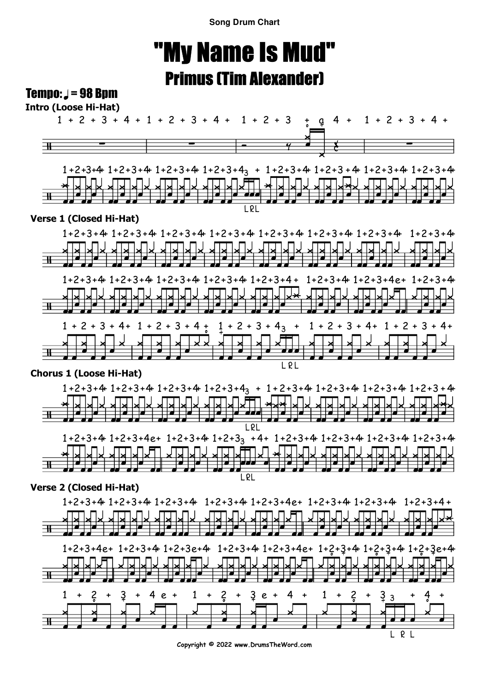**Song Drum Chart**

# "My Name Is Mud"Primus (Tim Alexander)

### Tempo:  $J = 98$  Bpm





### **Verse 1 (Closed Hi-Hat)**



#### **Chorus 1 (Loose Hi-Hat)**



#### **Verse 2 (Closed Hi-Hat)**



**Copyright © 2022 www.DrumsTheWord.com**